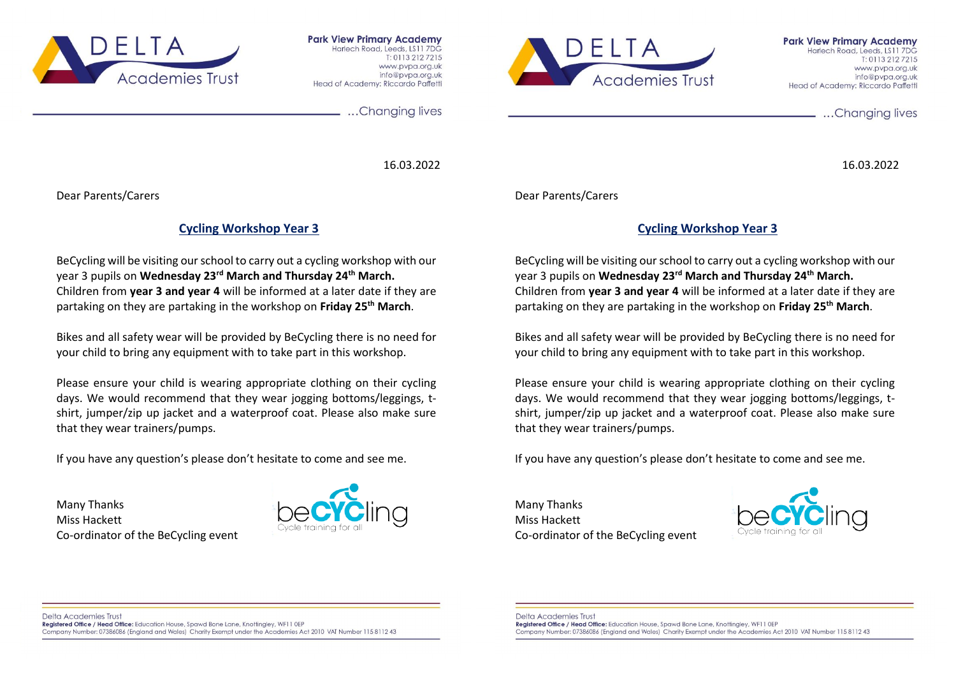

**Park View Primary Academy** Harlech Road, Leeds, LS11 7DG T: 0113 212 7215 www.pvpa.org.uk info@pypg.org.uk Head of Academy: Riccardo Paffetti



**Park View Primary Academy** Harlech Road, Leeds, LS11 7DG  $T: 01132127215$ www.pvpg.org.uk info@pypg.org.uk Head of Academy: Riccardo Paffetti

...Changing lives

16.03.2022

...Changing lives

16.03.2022

Dear Parents/Carers

## **Cycling Workshop Year 3**

BeCycling will be visiting our school to carry out a cycling workshop with our year 3 pupils on **Wednesday 23rd March and Thursday 24th March.** Children from **year 3 and year 4** will be informed at a later date if they are partaking on they are partaking in the workshop on **Friday 25th March**.

Bikes and all safety wear will be provided by BeCycling there is no need for your child to bring any equipment with to take part in this workshop.

Please ensure your child is wearing appropriate clothing on their cycling days. We would recommend that they wear jogging bottoms/leggings, tshirt, jumper/zip up jacket and a waterproof coat. Please also make sure that they wear trainers/pumps.

If you have any question's please don't hesitate to come and see me.

Many Thanks Miss Hackett Co-ordinator of the BeCycling event



Dear Parents/Carers

## **Cycling Workshop Year 3**

BeCycling will be visiting our school to carry out a cycling workshop with our year 3 pupils on **Wednesday 23rd March and Thursday 24th March.** Children from **year 3 and year 4** will be informed at a later date if they are partaking on they are partaking in the workshop on **Friday 25th March**.

Bikes and all safety wear will be provided by BeCycling there is no need for your child to bring any equipment with to take part in this workshop.

Please ensure your child is wearing appropriate clothing on their cycling days. We would recommend that they wear jogging bottoms/leggings, tshirt, jumper/zip up jacket and a waterproof coat. Please also make sure that they wear trainers/pumps.

If you have any question's please don't hesitate to come and see me.

Many Thanks Miss Hackett Co-ordinator of the BeCycling event



Delta Academies Trust Registered Office / Head Office: Education House, Spawd Bone Lane, Knottingley, WF11 0EP Company Number: 07386086 (England and Wales) Charity Exempt under the Academies Act 2010 VAT Number 115 8112 43 Delta Academies Trust Registered Office / Head Office: Education House, Spawd Bone Lane, Knottingley, WF11 0EP Company Number: 07386086 (England and Wales) Charity Exempt under the Academies Act 2010 VAT Number 115 8112 43